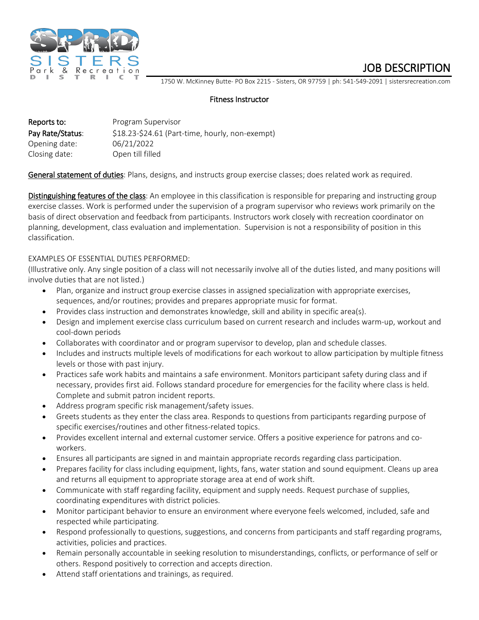

JOB DESCRIPTION<br>1750 W. McKinney Butte- PO Box 2215 - Sisters, OR 97759 | ph: 541-549-2091 | sistersrecreation.com

## Fitness Instructor

| Reports to:      | Program Supervisor                              |
|------------------|-------------------------------------------------|
| Pay Rate/Status: | \$18.23-\$24.61 (Part-time, hourly, non-exempt) |
| Opening date:    | 06/21/2022                                      |
| Closing date:    | Open till filled                                |

General statement of duties: Plans, designs, and instructs group exercise classes; does related work as required.

Distinguishing features of the class: An employee in this classification is responsible for preparing and instructing group exercise classes. Work is performed under the supervision of a program supervisor who reviews work primarily on the basis of direct observation and feedback from participants. Instructors work closely with recreation coordinator on planning, development, class evaluation and implementation. Supervision is not a responsibility of position in this classification.

## EXAMPLES OF ESSENTIAL DUTIES PERFORMED:

(Illustrative only. Any single position of a class will not necessarily involve all of the duties listed, and many positions will involve duties that are not listed.)

- Plan, organize and instruct group exercise classes in assigned specialization with appropriate exercises, sequences, and/or routines; provides and prepares appropriate music for format.
- Provides class instruction and demonstrates knowledge, skill and ability in specific area(s).
- Design and implement exercise class curriculum based on current research and includes warm-up, workout and cool-down periods
- Collaborates with coordinator and or program supervisor to develop, plan and schedule classes.
- Includes and instructs multiple levels of modifications for each workout to allow participation by multiple fitness levels or those with past injury.
- Practices safe work habits and maintains a safe environment. Monitors participant safety during class and if necessary, provides first aid. Follows standard procedure for emergencies for the facility where class is held. Complete and submit patron incident reports.
- Address program specific risk management/safety issues.
- Greets students as they enter the class area. Responds to questions from participants regarding purpose of specific exercises/routines and other fitness-related topics.
- Provides excellent internal and external customer service. Offers a positive experience for patrons and coworkers.
- Ensures all participants are signed in and maintain appropriate records regarding class participation.
- Prepares facility for class including equipment, lights, fans, water station and sound equipment. Cleans up area and returns all equipment to appropriate storage area at end of work shift.
- Communicate with staff regarding facility, equipment and supply needs. Request purchase of supplies, coordinating expenditures with district policies.
- Monitor participant behavior to ensure an environment where everyone feels welcomed, included, safe and respected while participating.
- Respond professionally to questions, suggestions, and concerns from participants and staff regarding programs, activities, policies and practices.
- Remain personally accountable in seeking resolution to misunderstandings, conflicts, or performance of self or others. Respond positively to correction and accepts direction.
- Attend staff orientations and trainings, as required.